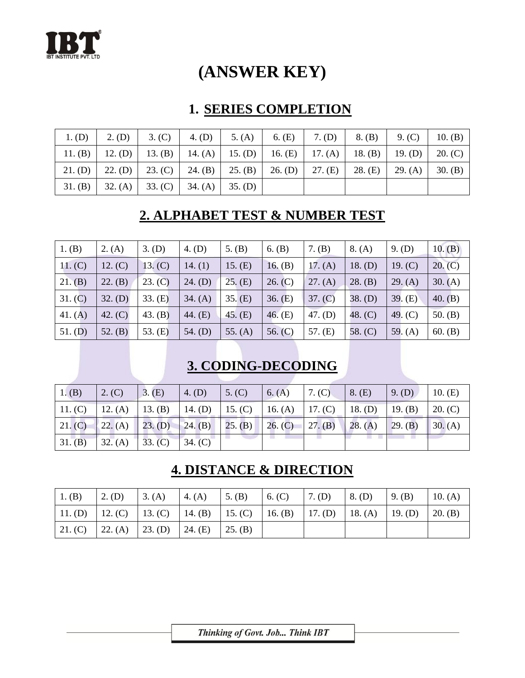

# **(ANSWER KEY)**

#### **1. SERIES COMPLETION**

|         | 1. (D) 2. (D) 3. (C) $\vert$ |                                                                                                   | 4. (D)   5. (A)   6. (E)   7. (D)   8. (B)   9. (C)   10. (B) |  |  |
|---------|------------------------------|---------------------------------------------------------------------------------------------------|---------------------------------------------------------------|--|--|
|         |                              | 11. (B)   12. (D)   13. (B)   14. (A)   15. (D)   16. (E)   17. (A)   18. (B)   19. (D)   20. (C) |                                                               |  |  |
|         |                              | 21. (D)   22. (D)   23. (C)   24. (B)   25. (B)   26. (D)   27. (E)   28. (E)   29. (A)   30. (B) |                                                               |  |  |
| 31. (B) |                              | 32. (A)   33. (C)   34. (A)   35. (D)                                                             |                                                               |  |  |

#### **2. ALPHABET TEST & NUMBER TEST**

| 1. (B)    | 2. (A)    | $3.$ (D)  | 4. (D)    | 5. $(B)$  | 6. $(B)$  | 7. (B)    | 8. (A)    | $9.$ (D)  | 10. (B)   |
|-----------|-----------|-----------|-----------|-----------|-----------|-----------|-----------|-----------|-----------|
| 11. (C)   | 12. (C)   | 13. (C)   | 14. (1)   | 15. $(E)$ | 16. $(B)$ | 17. $(A)$ | 18. (D)   | 19. (C)   | 20. (C)   |
| 21. (B)   | 22. (B)   | 23. (C)   | $24.$ (D) | 25. (E)   | 26. (C)   | 27. (A)   | 28. (B)   | 29. (A)   | 30. $(A)$ |
| 31. (C)   | $32.$ (D) | 33. (E)   | 34. (A)   | 35. (E)   | 36. (E)   | 37. (C)   | $38.$ (D) | 39. (E)   | 40. $(B)$ |
| 41. $(A)$ | 42. $(C)$ | 43. (B)   | 44. (E)   | 45. (E)   | 46. (E)   | $47.$ (D) | 48. (C)   | 49. $(C)$ | 50. $(B)$ |
| $51.$ (D) | 52. $(B)$ | 53. $(E)$ | 54. $(D)$ | 55. $(A)$ | 56. $(C)$ | 57. (E)   | 58. (C)   | 59. $(A)$ | 60. $(B)$ |

## **3. CODING-DECODING**

| $1.$ (B) | 2. (C)  | 3. (E)                                          | $\mid$ 4. (D)                                   | 5. (C) | 6. (A) | 7. (C) | 8. (E)  | $\vert 9.$ (D) | 10. (E) |
|----------|---------|-------------------------------------------------|-------------------------------------------------|--------|--------|--------|---------|----------------|---------|
| 11. (C)  | 12. (A) | 13. (B)                                         | 14. (D)   15. (C)   16. (A)   17. (C)   18. (D) |        |        |        |         | 19. (B)        | 20. (C) |
| 21. (C)  |         | 22. (A) 23. (D) 24. (B) 25. (B) 26. (C) 27. (B) |                                                 |        |        |        | 28. (A) | 29. (B)        | 30. (A) |
| 31. (B)  | 32. (A) | 33. (C)                                         | 34. (C)                                         |        |        |        |         |                |         |

#### **4. DISTANCE & DIRECTION**

| 1. (B) | $2.$ (D) | 3. (A) 4. (A)                                   | 5. (B) | 6. $(C)$                                                            | $7.$ (D) | $\vert 8.$ (D)  | $9.$ (B) | 10. $(A)$ |
|--------|----------|-------------------------------------------------|--------|---------------------------------------------------------------------|----------|-----------------|----------|-----------|
|        |          |                                                 |        | 11. (D)   12. (C)   13. (C)   14. (B)   15. (C)   16. (B)   17. (D) |          | 18. (A) 19. (D) |          | 20. (B)   |
|        |          | 21. (C)   22. (A)   23. (D)   24. (E)   25. (B) |        |                                                                     |          |                 |          |           |

Thinking of Govt. Job... Think IBT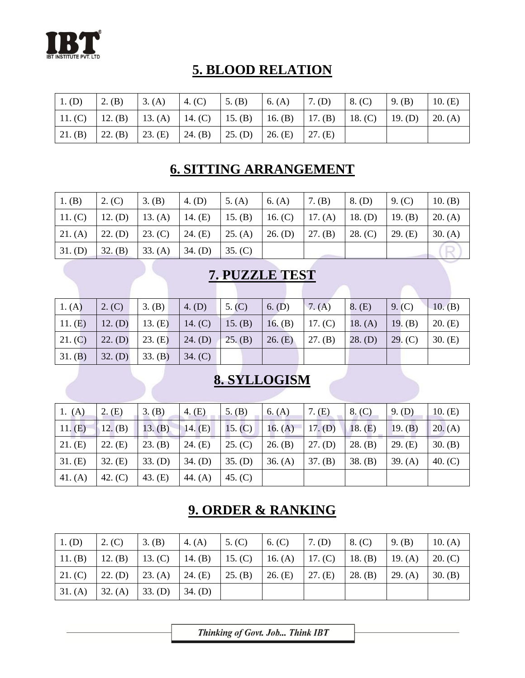

#### **5. BLOOD RELATION**

| $1.$ (D)        | 2. (B)                                                                                  | 3. (A)  | $\vert$ 4. (C) | 5. $(B)$                    | 6. $(A)$ | $7.$ (D) | 8. (C) | $\mid$ 9. (B) | 10. (E) |
|-----------------|-----------------------------------------------------------------------------------------|---------|----------------|-----------------------------|----------|----------|--------|---------------|---------|
|                 | 11. (C)   12. (B)   13. (A)   14. (C)   15. (B)   16. (B)   17. (B)   18. (C)   19. (D) |         |                |                             |          |          |        |               | 20. (A) |
| $\vert$ 21. (B) | 22. (B)                                                                                 | 23. (E) |                | 24. (B)   25. (D)   26. (E) |          | 27. (E)  |        |               |         |

#### **6. SITTING ARRANGEMENT**

| 1. (B)  | 2. (C)    | 3. (B)                                | 4. (D)    | 5. (A)  | 6. $(A)$                                        | 7. (B)  | $8.$ (D)          | 9. (C)  | 10. (B) |
|---------|-----------|---------------------------------------|-----------|---------|-------------------------------------------------|---------|-------------------|---------|---------|
| 11. (C) | $12.$ (D) |                                       |           |         | 13. (A)   14. (E)   15. (B)   16. (C)   17. (A) |         | 18. (D)   19. (B) |         | 20. (A) |
| 21. (A) | 22. (D)   | 23. (C)   24. (E)   25. (A)   26. (D) |           |         |                                                 | 27. (B) | 28. (C)           | 29. (E) | 30. (A) |
| 31. (D) | 32. (B)   | 33. (A)                               | $34.$ (D) | 35. (C) |                                                 |         |                   |         |         |

## **7. PUZZLE TEST**

| $\mid$ 1. (A) | 2(C)            | 3. (B)  | $\mid$ 4. (D)       | 5. (C) | $\vert$ 6. (D) | 7. (A)                                          | $\vert 8.$ (E) | $\vert$ 9. (C) | 10. (B) |
|---------------|-----------------|---------|---------------------|--------|----------------|-------------------------------------------------|----------------|----------------|---------|
| 11. (E)       | 12. (D) 13. (E) |         |                     |        |                | 14. (C)   15. (B)   16. (B)   17. (C)   18. (A) |                | 19. (B)        | 20. (E) |
| 21. (C)       | $22.$ (D)       | 23. (E) | $24.$ (D) $25.$ (B) |        | 26. (E)        | 27. (B)                                         | $28.$ (D)      | (29. (C))      | 30. (E) |
| 31. (B)       | 32. (D)         | 33. (B) | 34. (C)             |        |                |                                                 |                |                |         |

## **8. SYLLOGISM**

| 1. (A)    | 2. (E)    | 3. (B)    | 4. (E)    | 5. $(B)$  | 6. $(A)$ | 7. $(E)$  | 8. (C)    | $9.$ (D) | 10. $(E)$ |
|-----------|-----------|-----------|-----------|-----------|----------|-----------|-----------|----------|-----------|
| $11.$ (E) | 12. (B)   | 13. (B)   | 14. (E)   | 15. (C)   | 16. (A)  | $17.$ (D) | $18.$ (E) | 19. (B)  | 20. (A)   |
| 21. (E)   | 22. (E)   | 23. (B)   | 24. (E)   | 25. (C)   | 26. (B)  | $27.$ (D) | 28. (B)   | 29. (E)  | 30. (B)   |
| 31. (E)   | 32. (E)   | $33.$ (D) | $34.$ (D) | $35.$ (D) | 36. (A)  | 37. (B)   | 38. (B)   | 39. (A)  | 40. $(C)$ |
| 41. $(A)$ | 42. $(C)$ | 43. $(E)$ | 44. $(A)$ | 45. $(C)$ |          |           |           |          |           |

### **9. ORDER & RANKING**

| $1.$ (D)  | 2. (C)          | 3. (B)                                                    | 4. (A)    | $\vert 5. (C) \vert$ | 6. $(C)$ | $7.$ (D)                                                                      | 8. (C)  | 9. (B)  | 10. (A) |
|-----------|-----------------|-----------------------------------------------------------|-----------|----------------------|----------|-------------------------------------------------------------------------------|---------|---------|---------|
| $11.$ (B) |                 |                                                           |           |                      |          | 12. (B)   13. (C)   14. (B)   15. (C)   16. (A)   17. (C)   18. (B)   19. (A) |         |         | 20. (C) |
|           |                 | 21. (C)   22. (D)   23. (A)   24. (E)   25. (B)   26. (E) |           |                      |          | $27. \times$                                                                  | 28. (B) | 29. (A) | 30. (B) |
| 31. (A)   | 32. (A) 33. (D) |                                                           | $34.$ (D) |                      |          |                                                                               |         |         |         |

Thinking of Govt. Job... Think IBT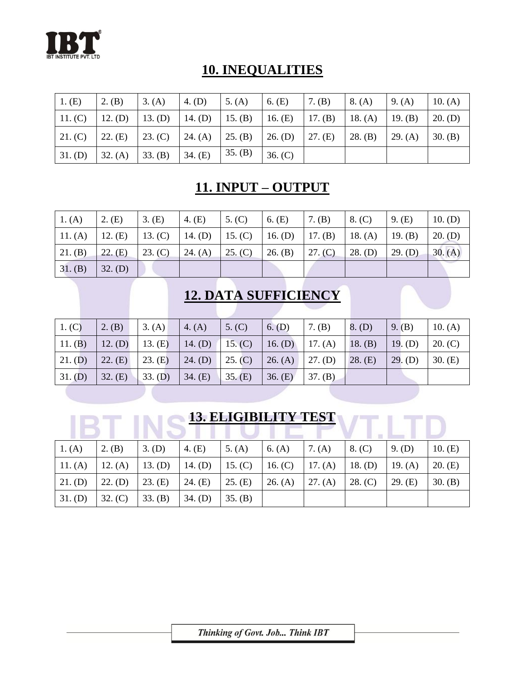

#### **10. INEQUALITIES**

| $\mid$ 1. (E)     | 2. $(B)$  | 3. (A)                                          | $4.$ (D)                                        | 5. (A)  | 6. (E)  | $\mid$ 7. (B) | 8. (A)            | 9. (A)  | 10. (A)   |
|-------------------|-----------|-------------------------------------------------|-------------------------------------------------|---------|---------|---------------|-------------------|---------|-----------|
| 11.(C)            | $12.$ (D) | 13. (D)   14. (D)   15. (B)   16. (E)   17. (B) |                                                 |         |         |               | 18. (A)   19. (B) |         | $20.$ (D) |
| $ 21.(\text{C}) $ | 22. (E)   |                                                 | 23. (C)   24. (A)   25. (B)   26. (D)   27. (E) |         |         |               | 28. (B)           | 29. (A) | 30. (B)   |
| 31. (D)           | 32. (A)   | 33. (B)                                         | 34. (E)                                         | 35. (B) | 36. (C) |               |                   |         |           |

#### **11. INPUT – OUTPUT**

| 1. (A)    | 2. (E)  | $3.$ (E)        | 4. $(E)$        | 5. (C) | 6. $(E)$                              | $7.$ (B) | $\vert 8. (C) \vert$ | 9. (E)  | 10. (D)   |
|-----------|---------|-----------------|-----------------|--------|---------------------------------------|----------|----------------------|---------|-----------|
| 11. (A)   | 12. (E) | 13. (C)         |                 |        | 14. (D)   15. (C)   16. (D)   17. (B) |          | $18. (A)$ 19. (B)    |         | $20.$ (D) |
| $21.$ (B) | 22. (E) | $\vert$ 23. (C) | 24. (A) 25. (C) |        | 26. (B)                               | 27. (C)  | $28.$ (D)            | 29. (D) | 30. (A)   |
| 31. (B)   | 32. (D) |                 |                 |        |                                       |          |                      |         |           |

## **12. DATA SUFFICIENCY**

| $1.$ (C)  | $\vert 2.$ (B)    | 3. (A)    | 4. $(A)$                              | 5. (C)  | $6.$ (D) | $7.$ (B)                                        | $8.$ (D) | $9.$ (B)  | 10. $(A)$ |
|-----------|-------------------|-----------|---------------------------------------|---------|----------|-------------------------------------------------|----------|-----------|-----------|
| 11. (B)   | $12.$ (D) 13. (E) |           |                                       |         |          | 14. (D)   15. (C)   16. (D)   17. (A)   18. (B) |          | $19.$ (D) | 20. (C)   |
| 21. (D)   | $22. \text{ (E)}$ | 23. (E)   | 24. (D)   25. (C)   26. (A)   27. (D) |         |          |                                                 | 28. (E)  | $29.$ (D) | 30. (E)   |
| $31.$ (D) | 32. (E)           | $33.$ (D) | 34. (E)                               | 35. (E) | 36. (E)  | 37. (B)                                         |          |           |           |

# **13. ELIGIBILITY TEST**

 $\sqrt{1}$ 

|           |           | <u> Transformation and the second</u> |                   |         |          |         |                |          |           |
|-----------|-----------|---------------------------------------|-------------------|---------|----------|---------|----------------|----------|-----------|
| 1. (A)    | 2. (B)    | $3.$ (D)                              | 4. $(E)$          | 5. (A)  | 6. $(A)$ | 7. (A)  | 8. (C)         | $9.$ (D) | 10. $(E)$ |
| 11. (A)   | 12. (A)   | $13.$ (D)                             | 14. (D)   15. (C) |         | 16. (C)  | 17. (A) | $\mid$ 18. (D) | 19. (A)  | 20. (E)   |
| 21. (D)   | $22.$ (D) | 23. (E)                               | 24. (E)           | 25. (E) | 26. (A)  | 27. (A) | 28. (C)        | 29. (E)  | 30. $(B)$ |
| $31.$ (D) | 32. (C)   | 33. (B)                               | $34.$ (D)         | 35. (B) |          |         |                |          |           |